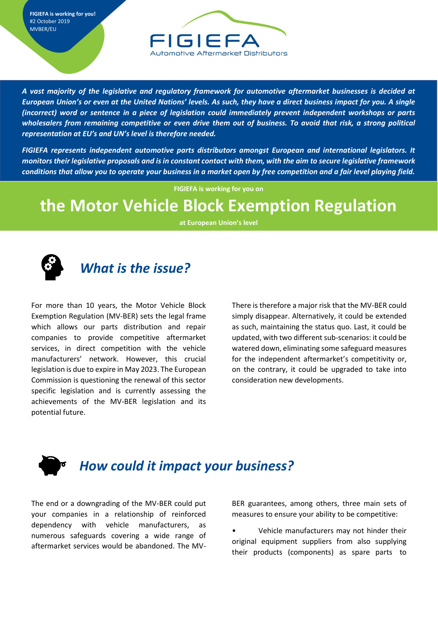**FIGIEFA is working for you!** #2 October 2019 MVBER/EU



*A vast majority of the legislative and regulatory framework for automotive aftermarket businesses is decided at European Union's or even at the United Nations' levels. As such, they have a direct business impact for you. A single (incorrect) word or sentence in a piece of legislation could immediately prevent independent workshops or parts wholesalers from remaining competitive or even drive them out of business. To avoid that risk, a strong political representation at EU's and UN's level is therefore needed.* 

*FIGIEFA represents independent automotive parts distributors amongst European and international legislators. It monitors their legislative proposals and is in constant contact with them, with the aim to secure legislative framework conditions that allow you to operate your business in a market open by free competition and a fair level playing field.* 

**FIGIEFA is working for you on**

## **the Motor Vehicle Block Exemption Regulation**

**at European Union's level**



## *What is the issue?*

For more than 10 years, the Motor Vehicle Block Exemption Regulation (MV-BER) sets the legal frame which allows our parts distribution and repair companies to provide competitive aftermarket services, in direct competition with the vehicle manufacturers' network. However, this crucial legislation is due to expire in May 2023. The European Commission is questioning the renewal of this sector specific legislation and is currently assessing the achievements of the MV-BER legislation and its potential future.

There is therefore a major risk that the MV-BER could simply disappear. Alternatively, it could be extended as such, maintaining the status quo. Last, it could be updated, with two different sub-scenarios: it could be watered down, eliminating some safeguard measures for the independent aftermarket's competitivity or, on the contrary, it could be upgraded to take into consideration new developments.

## *How could it impact your business?*

The end or a downgrading of the MV-BER could put your companies in a relationship of reinforced dependency with vehicle manufacturers, as numerous safeguards covering a wide range of aftermarket services would be abandoned. The MV-

BER guarantees, among others, three main sets of measures to ensure your ability to be competitive:

• Vehicle manufacturers may not hinder their original equipment suppliers from also supplying their products (components) as spare parts to